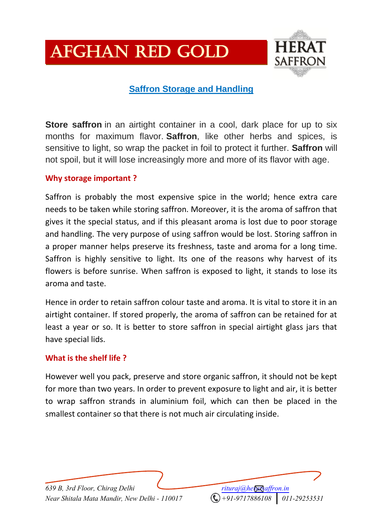# Afghan Red Gold



# **Saffron Storage and Handling**

**Store saffron** in an airtight container in a cool, dark place for up to six months for maximum flavor. **Saffron**, like other herbs and spices, is sensitive to light, so wrap the packet in foil to protect it further. **Saffron** will not spoil, but it will lose increasingly more and more of its flavor with age.

## **Why storage important ?**

Saffron is probably the most expensive spice in the world; hence extra care needs to be taken while storing saffron. Moreover, it is the aroma of saffron that gives it the special status, and if this pleasant aroma is lost due to poor storage and handling. The very purpose of using saffron would be lost. Storing saffron in a proper manner helps preserve its freshness, taste and aroma for a long time. Saffron is highly sensitive to light. Its one of the reasons why harvest of its flowers is before sunrise. When saffron is exposed to light, it stands to lose its aroma and taste.

Hence in order to retain saffron colour taste and aroma. It is vital to store it in an airtight container. If stored properly, the aroma of saffron can be retained for at least a year or so. It is better to store saffron in special airtight glass jars that have special lids.

#### **What is the shelf life ?**

However well you pack, preserve and store organic saffron, it should not be kept for more than two years. In order to prevent exposure to light and air, it is better to wrap saffron strands in aluminium foil, which can then be placed in the smallest container so that there is not much air circulating inside.